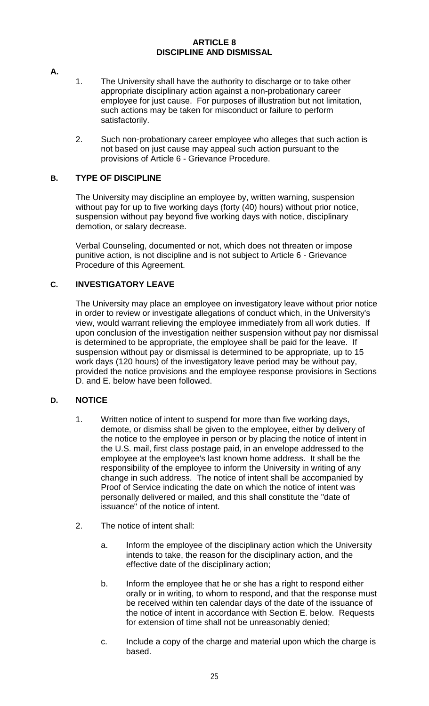#### **ARTICLE 8 DISCIPLINE AND DISMISSAL**

- **A.**
- 1. The University shall have the authority to discharge or to take other appropriate disciplinary action against a non-probationary career employee for just cause. For purposes of illustration but not limitation, such actions may be taken for misconduct or failure to perform satisfactorily.
- 2. Such non-probationary career employee who alleges that such action is not based on just cause may appeal such action pursuant to the provisions of Article 6 - Grievance Procedure.

# **B. TYPE OF DISCIPLINE**

The University may discipline an employee by, written warning, suspension without pay for up to five working days (forty (40) hours) without prior notice, suspension without pay beyond five working days with notice, disciplinary demotion, or salary decrease.

Verbal Counseling, documented or not, which does not threaten or impose punitive action, is not discipline and is not subject to Article 6 - Grievance Procedure of this Agreement.

# **C. INVESTIGATORY LEAVE**

The University may place an employee on investigatory leave without prior notice in order to review or investigate allegations of conduct which, in the University's view, would warrant relieving the employee immediately from all work duties. If upon conclusion of the investigation neither suspension without pay nor dismissal is determined to be appropriate, the employee shall be paid for the leave. If suspension without pay or dismissal is determined to be appropriate, up to 15 work days (120 hours) of the investigatory leave period may be without pay, provided the notice provisions and the employee response provisions in Sections D. and E. below have been followed.

# **D. NOTICE**

- 1. Written notice of intent to suspend for more than five working days, demote, or dismiss shall be given to the employee, either by delivery of the notice to the employee in person or by placing the notice of intent in the U.S. mail, first class postage paid, in an envelope addressed to the employee at the employee's last known home address. It shall be the responsibility of the employee to inform the University in writing of any change in such address. The notice of intent shall be accompanied by Proof of Service indicating the date on which the notice of intent was personally delivered or mailed, and this shall constitute the "date of issuance" of the notice of intent.
- 2. The notice of intent shall:
	- a. Inform the employee of the disciplinary action which the University intends to take, the reason for the disciplinary action, and the effective date of the disciplinary action;
	- b. Inform the employee that he or she has a right to respond either orally or in writing, to whom to respond, and that the response must be received within ten calendar days of the date of the issuance of the notice of intent in accordance with Section E. below. Requests for extension of time shall not be unreasonably denied;
	- c. Include a copy of the charge and material upon which the charge is based.